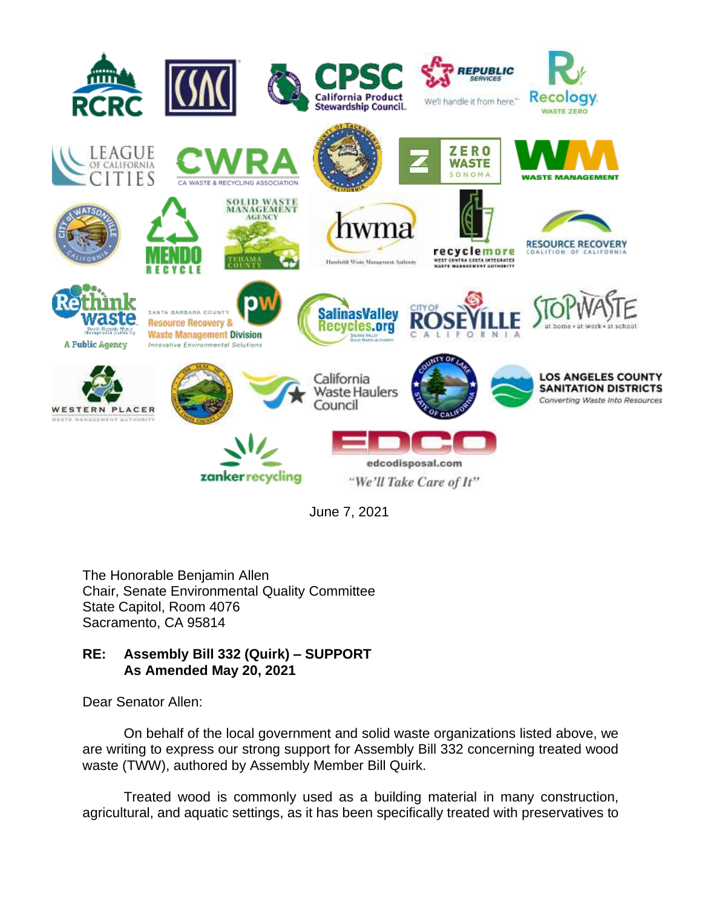

June 7, 2021

The Honorable Benjamin Allen Chair, Senate Environmental Quality Committee State Capitol, Room 4076 Sacramento, CA 95814

## **RE: Assembly Bill 332 (Quirk) – SUPPORT As Amended May 20, 2021**

Dear Senator Allen:

On behalf of the local government and solid waste organizations listed above, we are writing to express our strong support for Assembly Bill 332 concerning treated wood waste (TWW), authored by Assembly Member Bill Quirk.

Treated wood is commonly used as a building material in many construction, agricultural, and aquatic settings, as it has been specifically treated with preservatives to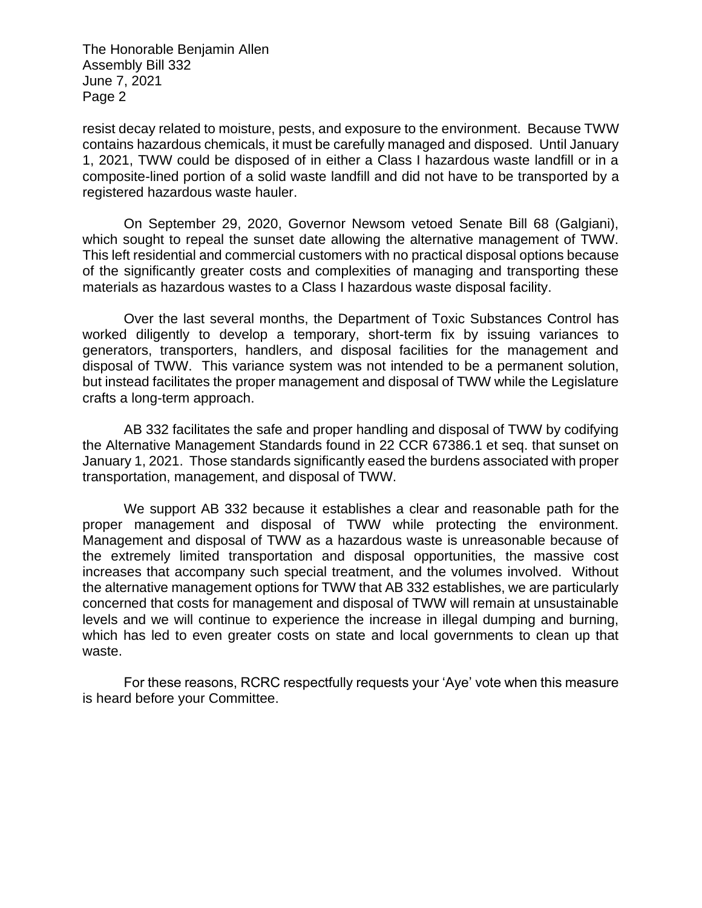The Honorable Benjamin Allen Assembly Bill 332 June 7, 2021 Page 2

resist decay related to moisture, pests, and exposure to the environment. Because TWW contains hazardous chemicals, it must be carefully managed and disposed. Until January 1, 2021, TWW could be disposed of in either a Class I hazardous waste landfill or in a composite-lined portion of a solid waste landfill and did not have to be transported by a registered hazardous waste hauler.

On September 29, 2020, Governor Newsom vetoed Senate Bill 68 (Galgiani), which sought to repeal the sunset date allowing the alternative management of TWW. This left residential and commercial customers with no practical disposal options because of the significantly greater costs and complexities of managing and transporting these materials as hazardous wastes to a Class I hazardous waste disposal facility.

Over the last several months, the Department of Toxic Substances Control has worked diligently to develop a temporary, short-term fix by issuing variances to generators, transporters, handlers, and disposal facilities for the management and disposal of TWW. This variance system was not intended to be a permanent solution, but instead facilitates the proper management and disposal of TWW while the Legislature crafts a long-term approach.

AB 332 facilitates the safe and proper handling and disposal of TWW by codifying the Alternative Management Standards found in 22 CCR 67386.1 et seq. that sunset on January 1, 2021. Those standards significantly eased the burdens associated with proper transportation, management, and disposal of TWW.

We support AB 332 because it establishes a clear and reasonable path for the proper management and disposal of TWW while protecting the environment. Management and disposal of TWW as a hazardous waste is unreasonable because of the extremely limited transportation and disposal opportunities, the massive cost increases that accompany such special treatment, and the volumes involved. Without the alternative management options for TWW that AB 332 establishes, we are particularly concerned that costs for management and disposal of TWW will remain at unsustainable levels and we will continue to experience the increase in illegal dumping and burning, which has led to even greater costs on state and local governments to clean up that waste.

For these reasons, RCRC respectfully requests your 'Aye' vote when this measure is heard before your Committee.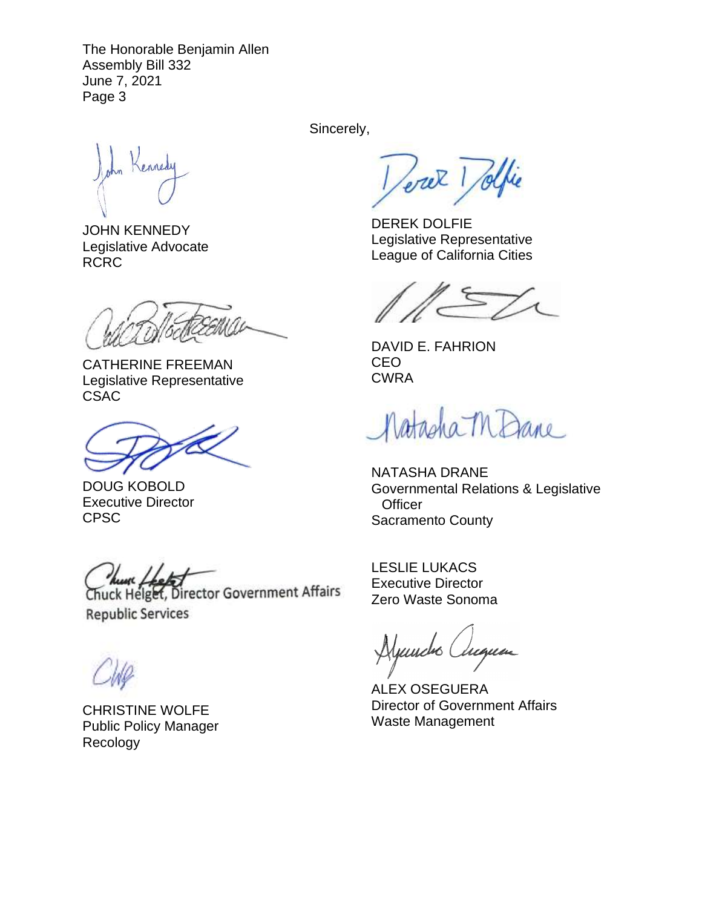The Honorable Benjamin Allen Assembly Bill 332 June 7, 2021 Page 3

ennedy

JOHN KENNEDY Legislative Advocate RCRC

CATHERINE FREEMAN Legislative Representative **CSAC** 

DOUG KOBOLD Executive Director CPSC

Chuck Helget, Director Government Affairs **Republic Services** 

CHRISTINE WOLFE Public Policy Manager Recology

Sincerely,

Jerek 1 Jolfie

DEREK DOLFIE Legislative Representative League of California Cities

DAVID E. FAHRION CEO CWRA

Natasha MDane

NATASHA DRANE Governmental Relations & Legislative **Officer** Sacramento County

LESLIE LUKACS Executive Director Zero Waste Sonoma

Aljundro Auguan

ALEX OSEGUERA Director of Government Affairs Waste Management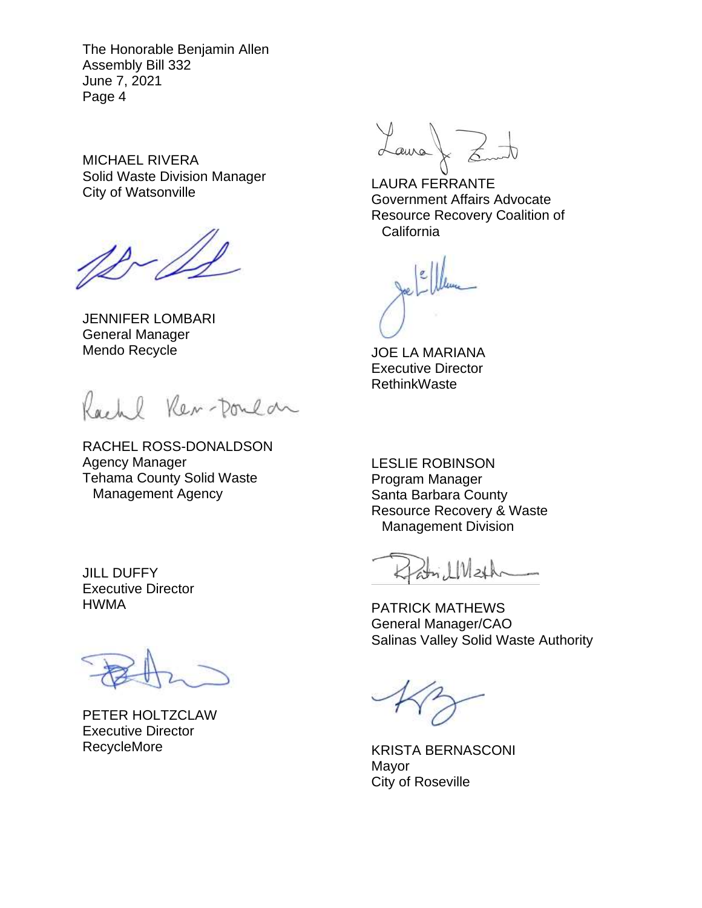The Honorable Benjamin Allen Assembly Bill 332 June 7, 2021 Page 4

MICHAEL RIVERA Solid Waste Division Manager City of Watsonville

JENNIFER LOMBARI General Manager Mendo Recycle

Rachl Ren-Doulan

RACHEL ROSS-DONALDSON Agency Manager Tehama County Solid Waste Management Agency

JILL DUFFY Executive Director HWMA

PETER HOLTZCLAW Executive Director RecycleMore

Laura  $\Big\}$  &

LAURA FERRANTE Government Affairs Advocate Resource Recovery Coalition of **California** 

JOE LA MARIANA Executive Director **RethinkWaste** 

LESLIE ROBINSON Program Manager Santa Barbara County Resource Recovery & Waste Management Division

KlanelMeth

PATRICK MATHEWS General Manager/CAO Salinas Valley Solid Waste Authority

KRISTA BERNASCONI Mayor City of Roseville